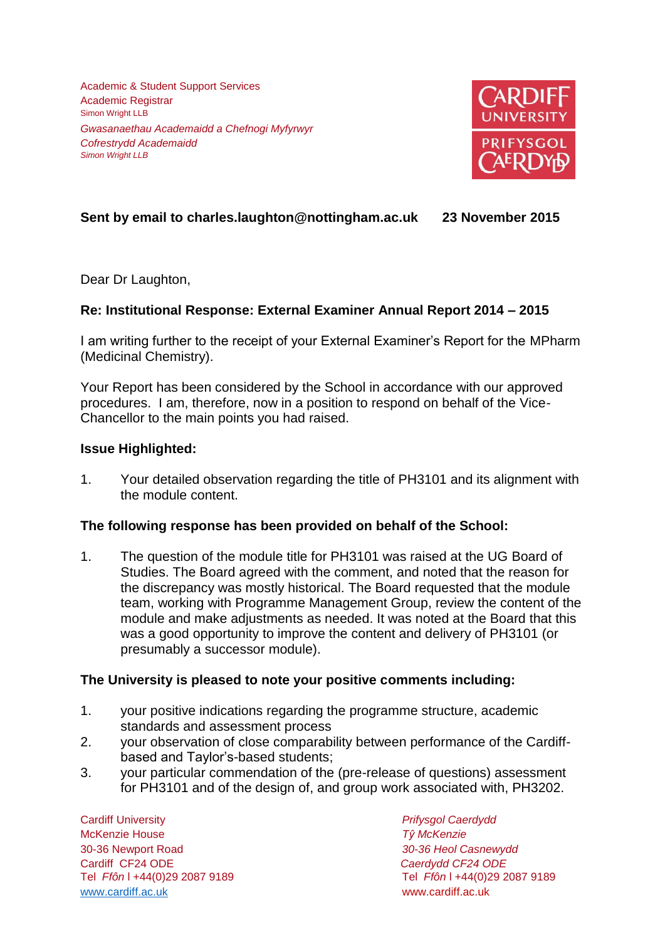Academic & Student Support Services Academic Registrar Simon Wright LLB *Gwasanaethau Academaidd a Chefnogi Myfyrwyr Cofrestrydd Academaidd Simon Wright LLB*



# **Sent by email to charles.laughton@nottingham.ac.uk 23 November 2015**

Dear Dr Laughton,

## **Re: Institutional Response: External Examiner Annual Report 2014 – 2015**

I am writing further to the receipt of your External Examiner's Report for the MPharm (Medicinal Chemistry).

Your Report has been considered by the School in accordance with our approved procedures. I am, therefore, now in a position to respond on behalf of the Vice-Chancellor to the main points you had raised.

### **Issue Highlighted:**

1. Your detailed observation regarding the title of PH3101 and its alignment with the module content.

### **The following response has been provided on behalf of the School:**

1. The question of the module title for PH3101 was raised at the UG Board of Studies. The Board agreed with the comment, and noted that the reason for the discrepancy was mostly historical. The Board requested that the module team, working with Programme Management Group, review the content of the module and make adjustments as needed. It was noted at the Board that this was a good opportunity to improve the content and delivery of PH3101 (or presumably a successor module).

### **The University is pleased to note your positive comments including:**

- 1. your positive indications regarding the programme structure, academic standards and assessment process
- 2. your observation of close comparability between performance of the Cardiffbased and Taylor's-based students;
- 3. your particular commendation of the (pre-release of questions) assessment for PH3101 and of the design of, and group work associated with, PH3202.

Cardiff University *Prifysgol Caerdydd* McKenzie House *Tŷ McKenzie* 30-36 Newport Road *30-36 Heol Casnewydd* Cardiff CF24 ODE *Caerdydd CF24 ODE* [www.cardiff.ac.uk](http://www.cardiff.ac.uk/) www.cardiff.ac.uk

Tel *Ffôn* l +44(0)29 2087 9189 Tel *Ffôn* l +44(0)29 2087 9189